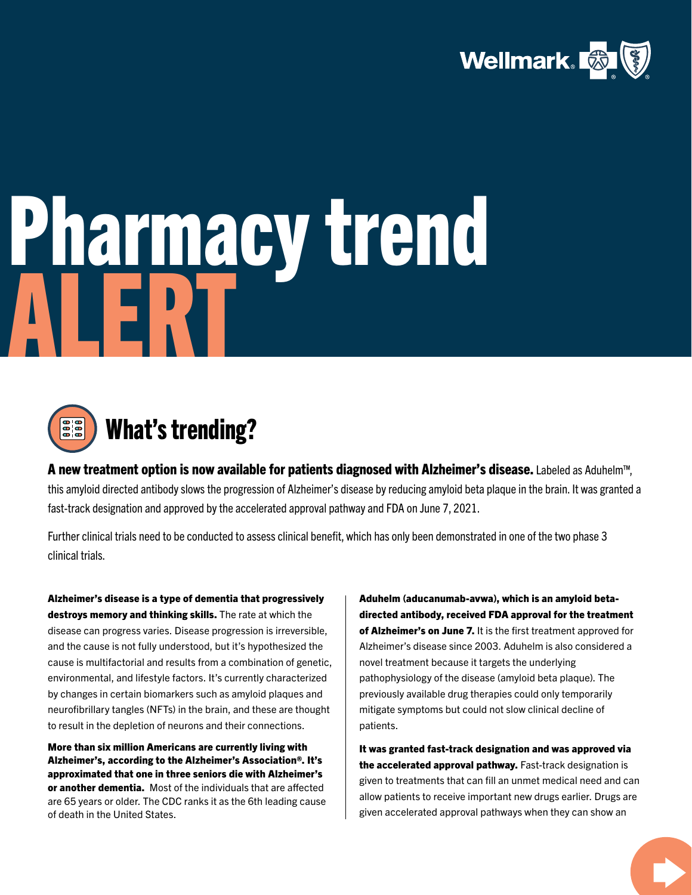

## Pharmacy trend ALERT



A new treatment option is now available for patients diagnosed with Alzheimer's disease. Labeled as Aduhelm™, this amyloid directed antibody slows the progression of Alzheimer's disease by reducing amyloid beta plaque in the brain. It was granted a fast-track designation and approved by the accelerated approval pathway and FDA on June 7, 2021.

Further clinical trials need to be conducted to assess clinical benefit, which has only been demonstrated in one of the two phase 3 clinical trials.

Alzheimer's disease is a type of dementia that progressively destroys memory and thinking skills. The rate at which the disease can progress varies. Disease progression is irreversible, and the cause is not fully understood, but it's hypothesized the cause is multifactorial and results from a combination of genetic, environmental, and lifestyle factors. It's currently characterized by changes in certain biomarkers such as amyloid plaques and neurofibrillary tangles (NFTs) in the brain, and these are thought to result in the depletion of neurons and their connections.

More than six million Americans are currently living with Alzheimer's, according to the Alzheimer's Association®. It's approximated that one in three seniors die with Alzheimer's or another dementia. Most of the individuals that are affected are 65 years or older. The CDC ranks it as the 6th leading cause of death in the United States.

Aduhelm (aducanumab-avwa), which is an amyloid betadirected antibody, received FDA approval for the treatment of Alzheimer's on June 7. It is the first treatment approved for Alzheimer's disease since 2003. Aduhelm is also considered a novel treatment because it targets the underlying pathophysiology of the disease (amyloid beta plaque). The previously available drug therapies could only temporarily mitigate symptoms but could not slow clinical decline of patients.

It was granted fast-track designation and was approved via the accelerated approval pathway. Fast-track designation is given to treatments that can fill an unmet medical need and can allow patients to receive important new drugs earlier. Drugs are given accelerated approval pathways when they can show an